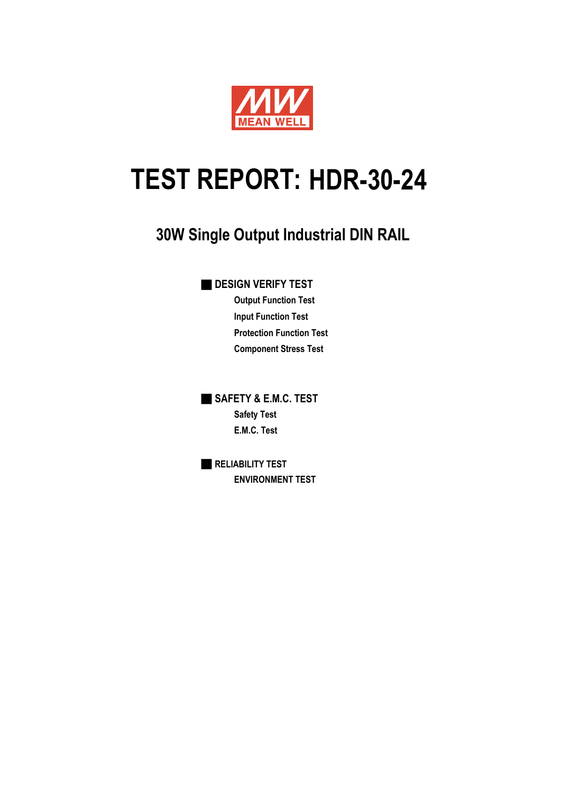

# **HDR-30-24 TEST REPORT:**

## **30W Single Output Industrial DIN RAIL**

**DESIGN VERIFY TEST** 

**Output Function Test Input Function Test Protection Function Test Component Stress Test**

**B** SAFETY & E.M.C. TEST **Safety Test E.M.C. Test**

■ **RELIABILITY TEST ENVIRONMENT TEST**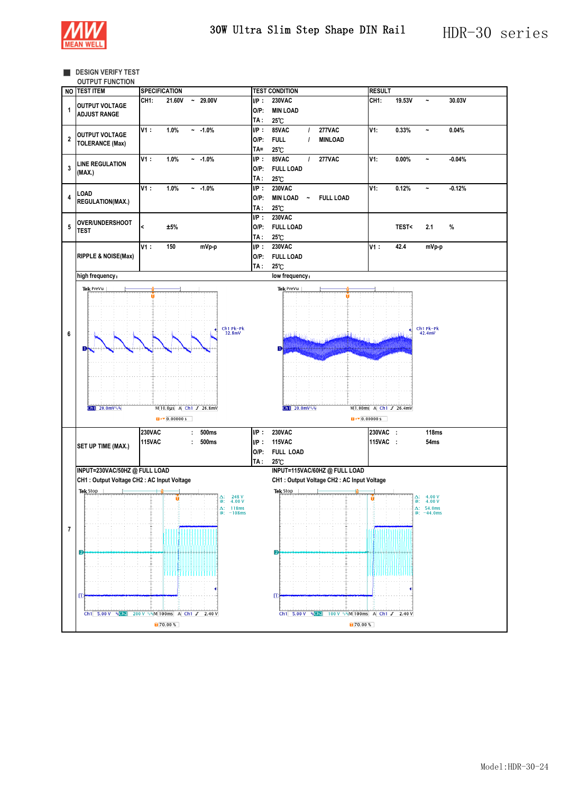

**EXIGN VERIFY TEST** 

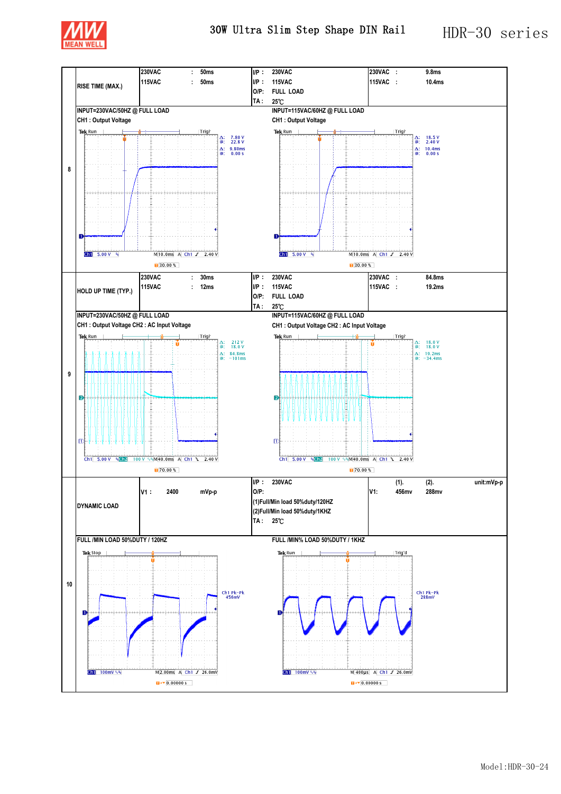

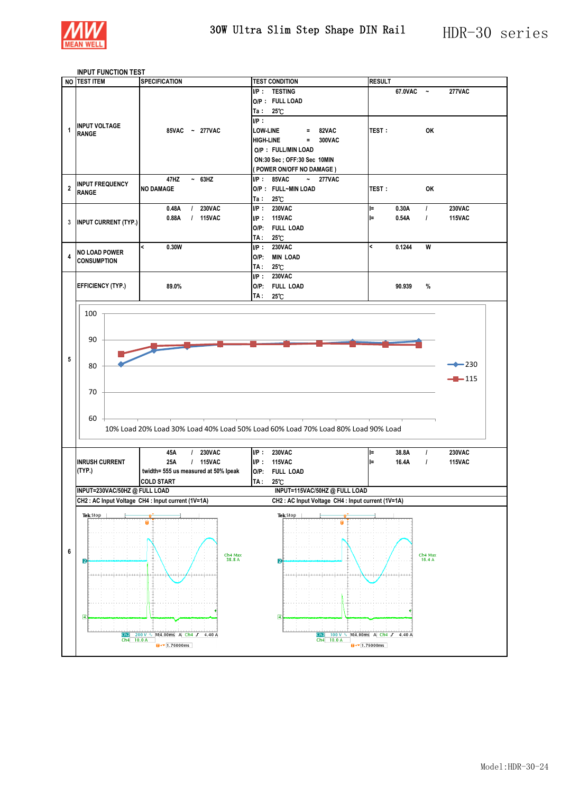

#### **INPUT FUNCTION TEST**

|                         | NO TEST ITEM                                                                              | <b>SPECIFICATION</b>                                                                               | <b>TEST CONDITION</b>                                                                                                                                   |                                           |                                             |                                        |  |  |
|-------------------------|-------------------------------------------------------------------------------------------|----------------------------------------------------------------------------------------------------|---------------------------------------------------------------------------------------------------------------------------------------------------------|-------------------------------------------|---------------------------------------------|----------------------------------------|--|--|
|                         |                                                                                           |                                                                                                    | I/P: TESTING<br>O/P: FULL LOAD<br>Ta: $25^{\circ}$ C                                                                                                    |                                           | 67.0VAC ~                                   | <b>277VAC</b>                          |  |  |
| 1                       | <b>INPUT VOLTAGE</b><br><b>RANGE</b>                                                      | 85VAC ~ 277VAC                                                                                     | UP:<br><b>LOW-LINE</b><br>$= 82VAC$<br><b>HIGH-LINE</b><br>$= 300VAC$<br>O/P: FULL/MIN LOAD<br>ON:30 Sec ; OFF:30 Sec 10MIN<br>(POWER ON/OFF NO DAMAGE) | <b>TEST:</b>                              | OK                                          |                                        |  |  |
| $\overline{\mathbf{c}}$ | <b>INPUT FREQUENCY</b><br><b>RANGE</b>                                                    | 47HZ<br>$~\sim~$ 63HZ<br><b>NO DAMAGE</b>                                                          | $I/P: 85VAC \sim 277VAC$<br>O/P: FULL~MIN LOAD<br>Ta: $25^{\circ}$ C                                                                                    | <b>TEST:</b>                              | OK                                          |                                        |  |  |
|                         | 3 INPUT CURRENT (TYP.)                                                                    | 0.48A<br>/ 230VAC<br>/ 115VAC<br>0.88A                                                             | UP: 230VAC<br>I/P: 115VAC<br>O/P: FULL LOAD<br>TA: 25°C                                                                                                 | E<br>I=                                   | 0.30A<br>$\prime$<br>0.54A<br>$\prime$      | <b>230VAC</b><br><b>115VAC</b>         |  |  |
|                         | <b>NO LOAD POWER</b><br><b>CONSUMPTION</b>                                                | $\prec$<br>0.30W                                                                                   | UP: 230VAC<br>O/P: MIN LOAD<br>TA: 25°C                                                                                                                 | $\overline{\phantom{a}}$                  | 0.1244<br>W                                 |                                        |  |  |
|                         | <b>EFFICIENCY (TYP.)</b>                                                                  | 89.0%                                                                                              | I/P: 230VAC<br>O/P: FULL LOAD<br>TA: 25°C                                                                                                               |                                           | %<br>90.939                                 |                                        |  |  |
| 5                       | 100<br>90<br>80<br>70<br>$60 +$                                                           |                                                                                                    | 10% Load 20% Load 30% Load 40% Load 50% Load 60% Load 70% Load 80% Load 90% Load                                                                        |                                           |                                             | $\leftarrow$ 230<br>$\blacksquare$ 115 |  |  |
|                         | <b>INRUSH CURRENT</b><br>(TYP.)                                                           | 45A<br>/ 230VAC<br>25A<br>/ 115VAC<br>twidth= 555 us measured at 50% lpeak<br><b>COLD START</b>    | <b>I/P: 230VAC</b><br>I/P: 115VAC<br>O/P: FULL LOAD<br>TA: 25°C                                                                                         | $=$<br>$=$                                | 38.8A<br>$\prime$<br>16.4A<br>$\mathcal{L}$ | <b>230VAC</b><br><b>115VAC</b>         |  |  |
|                         | INPUT=230VAC/50HZ @ FULL LOAD                                                             |                                                                                                    | INPUT=115VAC/50HZ@FULL LOAD                                                                                                                             |                                           |                                             |                                        |  |  |
|                         |                                                                                           | CH2: AC Input Voltage CH4: Input current (1V=1A)                                                   | CH2: AC Input Voltage CH4: Input current (1V=1A)                                                                                                        |                                           |                                             |                                        |  |  |
| 6                       | Tek Stop<br>بهيؤنيه ومصادره والمستوطن ومستوقف إنتهابه والمنافذة<br>⊕<br>Ch2<br>Ch4 10.0 A | Ch4 Max<br>$38.8$ A<br>200 V √ M4.00ms A Ch4 S 4.40 A<br>$\overline{u}$ + $\overline{u}$ 1.76000ms | Tek Stop<br>D<br><br>O<br>100 V V M4.00ms A Ch4 J 4.40 A<br>Ch2<br>Ch4 10.0 A                                                                           | $\overline{u}$ + $\overline{u}$ 1.76000ms | Ch4 Max<br>$16.4$ A                         |                                        |  |  |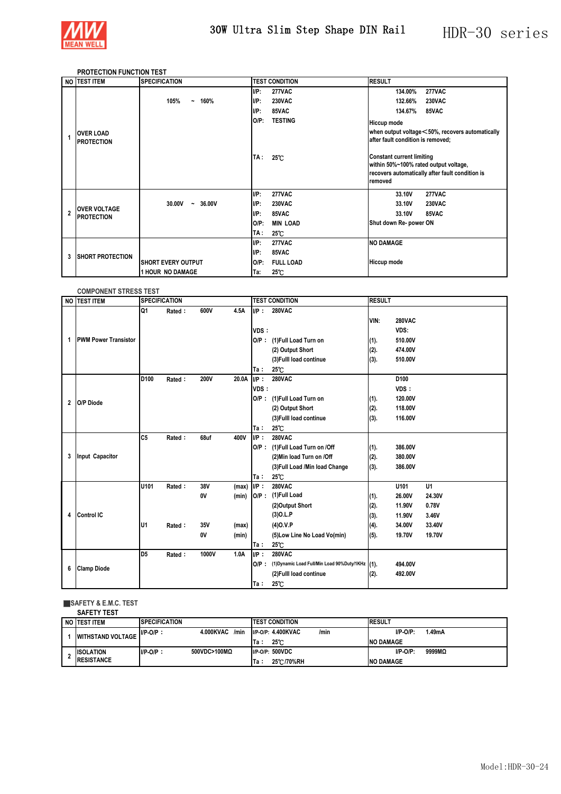

### **PROTECTION FUNCTION TEST**

|                          | <b>NO TEST ITEM</b>                      | <b>SPECIFICATION</b>                  |         | <b>TEST CONDITION</b>                           | <b>RESULT</b>                                    |                                  |                                       |  |  |
|--------------------------|------------------------------------------|---------------------------------------|---------|-------------------------------------------------|--------------------------------------------------|----------------------------------|---------------------------------------|--|--|
|                          |                                          |                                       | $I/P$ : | <b>277VAC</b>                                   |                                                  | 134.00%                          | <b>277VAC</b>                         |  |  |
|                          |                                          | 105%<br>160%<br>$\tilde{\phantom{a}}$ | UP:     | <b>230VAC</b>                                   |                                                  | 132.66%                          | <b>230VAC</b>                         |  |  |
|                          |                                          |                                       | UP:     | 85VAC                                           |                                                  | 134.67%                          | 85VAC                                 |  |  |
|                          |                                          |                                       | O/P:    | <b>TESTING</b>                                  | <b>Hiccup mode</b>                               |                                  |                                       |  |  |
|                          | <b>OVER LOAD</b>                         |                                       |         |                                                 | when output voltage <50%, recovers automatically |                                  |                                       |  |  |
|                          | <b>PROTECTION</b>                        |                                       |         |                                                 |                                                  |                                  | after fault condition is removed;     |  |  |
|                          |                                          |                                       |         |                                                 |                                                  |                                  |                                       |  |  |
|                          |                                          |                                       | TA :    | $25^{\circ}$ C                                  |                                                  | <b>Constant current limiting</b> | within 50%~100% rated output voltage, |  |  |
|                          |                                          |                                       |         | recovers automatically after fault condition is |                                                  |                                  |                                       |  |  |
|                          |                                          |                                       |         |                                                 | removed                                          |                                  |                                       |  |  |
|                          |                                          |                                       | UP:     | <b>277VAC</b>                                   |                                                  | 33.10V                           | <b>277VAC</b>                         |  |  |
|                          | <b>OVER VOLTAGE</b><br><b>PROTECTION</b> | 36.00V<br>30.00V<br>$\sim$            | I/P:    | <b>230VAC</b>                                   |                                                  | 33.10V                           | 230VAC                                |  |  |
| $\overline{\phantom{a}}$ |                                          |                                       | I/P:    | 85VAC                                           |                                                  | 33.10V                           | 85VAC                                 |  |  |
|                          |                                          |                                       | O/P:    | <b>MIN LOAD</b>                                 |                                                  | Shut down Re- power ON           |                                       |  |  |
|                          |                                          |                                       | TA:     | $25^{\circ}$ C                                  |                                                  |                                  |                                       |  |  |
|                          |                                          |                                       | UP:     | <b>277VAC</b>                                   | <b>NO DAMAGE</b>                                 |                                  |                                       |  |  |
| 3                        |                                          |                                       | I/P:    | 85VAC                                           |                                                  |                                  |                                       |  |  |
|                          | <b>SHORT PROTECTION</b>                  | <b>ISHORT EVERY OUTPUT</b>            | $O/P$ : | <b>FULL LOAD</b>                                | <b>Hiccup mode</b>                               |                                  |                                       |  |  |
|                          |                                          | 1 HOUR NO DAMAGE                      | Ta:     | 25°C                                            |                                                  |                                  |                                       |  |  |

#### **COMPONENT STRESS TEST**

|                | NO TEST ITEM                | <b>SPECIFICATION</b> |        |       |       |         | <b>TEST CONDITION</b>                                | <b>RESULT</b> |                  |                |  |
|----------------|-----------------------------|----------------------|--------|-------|-------|---------|------------------------------------------------------|---------------|------------------|----------------|--|
|                |                             | Q1                   | Rated: | 600V  | 4.5A  | $I/P$ : | <b>280VAC</b>                                        |               |                  |                |  |
|                |                             |                      |        |       |       |         |                                                      | VIN:          | <b>280VAC</b>    |                |  |
|                |                             |                      |        |       |       | VDS:    |                                                      |               | VDS:             |                |  |
| 1              | <b>PWM Power Transistor</b> |                      |        |       |       |         | O/P: (1)Full Load Turn on                            | (1).          | 510.00V          |                |  |
|                |                             |                      |        |       |       |         | (2) Output Short                                     | (2).          | 474.00V          |                |  |
|                |                             |                      |        |       |       |         | (3) Fulll load continue                              | (3).          | 510.00V          |                |  |
|                |                             |                      |        |       |       | Ta:     | $25^\circ$ C                                         |               |                  |                |  |
|                |                             | D <sub>100</sub>     | Rated: | 200V  | 20.0A | UP:     | <b>280VAC</b>                                        |               | D <sub>100</sub> |                |  |
|                |                             |                      |        |       |       | VDS:    |                                                      |               | VDS:             |                |  |
|                |                             |                      |        |       |       | $O/P$ : | (1)Full Load Turn on                                 | (1).          | 120.00V          |                |  |
| $\overline{2}$ | O/P Diode                   |                      |        |       |       |         | (2) Output Short                                     | (2).          | 118.00V          |                |  |
|                |                             |                      |        |       |       |         | (3) Fulll load continue                              | (3).          | 116.00V          |                |  |
|                |                             |                      |        |       |       | Ta:     | $25^\circ$ C                                         |               |                  |                |  |
|                | Input Capacitor             | C <sub>5</sub>       | Rated: | 68uf  | 400V  | UP:     | <b>280VAC</b>                                        |               |                  |                |  |
|                |                             |                      |        |       |       |         | O/P: (1)Full Load Turn on /Off                       | (1).          | 386.00V          |                |  |
| 3              |                             |                      |        |       |       |         | (2) Min load Turn on /Off                            | (2).          | 380.00V          |                |  |
|                |                             |                      |        |       |       |         | (3) Full Load /Min load Change                       | (3).          | 386.00V          |                |  |
|                |                             |                      |        |       |       | Ta:     | 25°C                                                 |               |                  |                |  |
|                |                             | U101                 | Rated: | 38V   | (max) | UP:     | <b>280VAC</b>                                        |               | U101             | U <sub>1</sub> |  |
|                |                             |                      |        | 0V    | (min) | $O/P$ : | (1)Full Load                                         | (1).          | 26.00V           | 24.30V         |  |
|                |                             |                      |        |       |       |         | (2)Output Short                                      | (2).          | 11.90V           | 0.78V          |  |
| 4              | <b>Control IC</b>           |                      |        |       |       |         | $(3)$ O.L.P                                          | (3).          | 11.90V           | 3.46V          |  |
|                |                             | IU1                  | Rated: | 35V   | (max) |         | $(4)$ O.V.P                                          | (4).          | 34.00V           | 33.40V         |  |
|                |                             |                      |        | 0V    | (min) |         | (5) Low Line No Load Vo(min)                         | (5).          | 19.70V           | 19.70V         |  |
|                |                             |                      |        |       |       | Ta:     | $25^\circ$ C                                         |               |                  |                |  |
|                |                             | D <sub>5</sub>       | Rated: | 1000V | 1.0A  | UP:     | <b>280VAC</b>                                        |               |                  |                |  |
|                |                             |                      |        |       |       |         | O/P: (1)Dynamic Load Full/Min Load 90%Duty/1KHz (1), |               | 494.00V          |                |  |
| 6              | <b>Clamp Diode</b>          |                      |        |       |       |         | (2) Fulll load continue                              | (2).          | 492.00V          |                |  |
|                |                             |                      |        |       |       | Ta:     | $25^\circ$ C                                         |               |                  |                |  |

#### ■**SAFETY & E.M.C. TEST SAFETY TEST**

| SAFEII IESI                           |                                  |                                           |                                           |
|---------------------------------------|----------------------------------|-------------------------------------------|-------------------------------------------|
| NO ITEST ITEM                         | <b>ISPECIFICATION</b>            | <b>TEST CONDITION</b>                     | <b>RESULT</b>                             |
| <b>WITHSTAND VOLTAGE</b>              | 4.000KVAC<br>/min<br>$I/P-O/P$ : | /min<br>I/P-O/P: 4.400KVAC<br>25C<br>Ta : | $I/P-O/P$ :<br>l.49mA<br><b>NO DAMAGE</b> |
| <b>ISOLATION</b><br><b>RESISTANCE</b> | 500VDC>100MQ<br>$I/P-O/P$ :      | $UP-O/P: 500VDC$<br>25 C/70%RH<br>Ta      | $I/P-O/P$ :<br>9999MQ<br><b>NO DAMAGE</b> |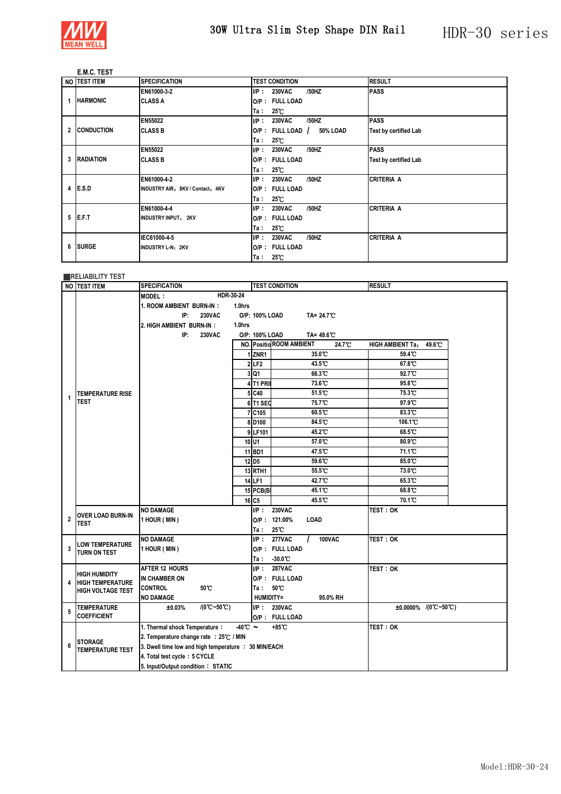

### **E.M.C. TEST**

|   | NO TEST ITEM      | <b>SPECIFICATION</b>             | <b>TEST CONDITION</b>  |          | <b>RESULT</b>                |
|---|-------------------|----------------------------------|------------------------|----------|------------------------------|
|   |                   | EN61000-3-2                      | UP:<br><b>230VAC</b>   | /50HZ    | <b>PASS</b>                  |
| 1 | <b>HARMONIC</b>   | <b>CLASS A</b>                   | O/P: FULL LOAD         |          |                              |
|   |                   |                                  | $25^{\circ}$ C<br>Ta : |          |                              |
|   |                   | <b>EN55022</b>                   | <b>230VAC</b><br>UP:   | /50HZ    | <b>PASS</b>                  |
| 2 | <b>CONDUCTION</b> | <b>CLASS B</b>                   | FULL LOAD /<br>O/P:    | 50% LOAD | <b>Test by certified Lab</b> |
|   |                   |                                  | $25^{\circ}$ C<br>Ta : |          |                              |
|   |                   | <b>EN55022</b>                   | <b>230VAC</b><br>UP:   | /50HZ    | <b>PASS</b>                  |
| 3 | <b>RADIATION</b>  | <b>CLASS B</b>                   | O/P: FULL LOAD         |          | Test by certified Lab        |
|   |                   |                                  | 25°C<br>Ta∶            |          |                              |
|   |                   | EN61000-4-2                      | <b>230VAC</b><br>UP:   | /50HZ    | <b>CRITERIA A</b>            |
| 4 | E.S.D             | INDUSTRY AIR: 8KV / Contact: 4KV | O/P: FULL LOAD         |          |                              |
|   |                   |                                  | $25^{\circ}$ C<br>Ta:  |          |                              |
|   |                   | EN61000-4-4                      | <b>230VAC</b><br>IP:   | /50HZ    | <b>CRITERIA A</b>            |
| 5 | E.F.T             | <b>INDUSTRY INPUT: 2KV</b>       | O/P: FULL LOAD         |          |                              |
|   |                   |                                  | $25^{\circ}$ C<br>Ta : |          |                              |
|   |                   | IEC61000-4-5                     | UP:<br><b>230VAC</b>   | /50HZ    | <b>CRITERIA A</b>            |
| 6 | <b>ISURGE</b>     | <b>INDUSTRY L-N: 2KV</b>         | O/P: FULL LOAD         |          |                              |
|   |                   |                                  | $25^{\circ}$ C<br>Ta : |          |                              |

#### ■**RELIABILITY TEST**

|                        | NO TEST ITEM             | <b>SPECIFICATION</b>                                 |                   |                     | <b>TEST CONDITION</b>              | <b>RESULT</b>                     |  |  |
|------------------------|--------------------------|------------------------------------------------------|-------------------|---------------------|------------------------------------|-----------------------------------|--|--|
|                        |                          | HDR-30-24<br>MODEL:                                  |                   |                     |                                    |                                   |  |  |
|                        |                          | 1. ROOM AMBIENT BURN-IN:                             | $1.0$ hrs         |                     |                                    |                                   |  |  |
|                        |                          | IP:<br><b>230VAC</b>                                 |                   | O/P: 100% LOAD      | TA= 24.7°C                         |                                   |  |  |
|                        |                          | 2. HIGH AMBIENT BURN-IN:<br>1.0hrs                   |                   |                     |                                    |                                   |  |  |
|                        |                          | IP:<br><b>230VAC</b>                                 | O/P: 100% LOAD    |                     |                                    |                                   |  |  |
|                        |                          |                                                      |                   |                     | NO. Positio ROOM AMBIENT<br>24.7°C | 49.6°C<br><b>HIGH AMBIENT Ta:</b> |  |  |
|                        |                          |                                                      |                   | 1ZNR1               | 35.0°C                             | 59.4 C                            |  |  |
|                        |                          |                                                      |                   | $2$ LF <sub>2</sub> | 43.5°C                             | $67.8^{\circ}$                    |  |  |
|                        |                          |                                                      |                   | 3 <sub>Q1</sub>     | 66.3°C                             | 92.7°C                            |  |  |
| 1                      |                          |                                                      |                   | 4 T1 PRI            | 73.6°C                             | 95.8C                             |  |  |
|                        | <b>TEMPERATURE RISE</b>  |                                                      |                   | 5 C40               | 51.5°C                             | 75.3°C                            |  |  |
|                        | <b>TEST</b>              |                                                      |                   | 6 T1 SEC            | 75.7°C                             | 97.9 C                            |  |  |
|                        |                          |                                                      |                   | 7 C105              | 60.5°C                             | 83.3°C                            |  |  |
|                        |                          |                                                      |                   | 8 D100              | 84.5°C                             | 106.1 C                           |  |  |
|                        |                          |                                                      |                   | 9LF101              | 45.2°C                             | 68.5°C                            |  |  |
|                        |                          |                                                      | $10$ U1           |                     | 57.0°C                             | 80.9°C                            |  |  |
|                        |                          |                                                      |                   | 11 BD1              | 47.5°C                             | 71.1 <sup>°</sup> C               |  |  |
|                        |                          |                                                      |                   | $12$ D <sub>5</sub> | 59.6°C                             | 85.0 °C                           |  |  |
|                        |                          |                                                      |                   | <b>13 RTH1</b>      | 55.5°C                             | 73.0°C                            |  |  |
|                        |                          |                                                      |                   | 14 LF1              | 42.7°C                             | 65.3C                             |  |  |
|                        |                          |                                                      |                   | 15 PCB(B)           | 45.1°C                             | 68.8°C                            |  |  |
|                        |                          |                                                      |                   | 16 C5               | 45.5℃                              | $70.1^\circ$                      |  |  |
|                        | OVER LOAD BURN-IN        | <b>NO DAMAGE</b>                                     |                   | $I/P$ :             | <b>230VAC</b>                      | test : ok                         |  |  |
| $\overline{2}$         | <b>TEST</b>              | 1 HOUR (MIN)                                         |                   |                     | O/P: 121.00%<br>LOAD               |                                   |  |  |
|                        |                          |                                                      |                   | Ta∶                 | $25^\circ$ C                       |                                   |  |  |
| <b>LOW TEMPERATURE</b> |                          | <b>NO DAMAGE</b>                                     |                   | UP:                 | 100VAC<br><b>277VAC</b>            | TEST: OK                          |  |  |
| 3                      | TURN ON TEST             | 1 HOUR (MIN)                                         |                   |                     | O/P: FULL LOAD                     |                                   |  |  |
|                        |                          |                                                      |                   | Ta∶                 | $-30.0^{\circ}\mathrm{C}$          |                                   |  |  |
|                        | <b>HIGH HUMIDITY</b>     | <b>AFTER 12 HOURS</b>                                |                   | UP:                 | <b>287VAC</b>                      | TEST: OK                          |  |  |
| 4                      | <b>HIGH TEMPERATURE</b>  | IN CHAMBER ON                                        |                   |                     | O/P: FULL LOAD                     |                                   |  |  |
|                        | <b>HIGH VOLTAGE TEST</b> | <b>CONTROL</b><br>50°C                               |                   | Ta :                | $50^{\circ}$ C                     |                                   |  |  |
|                        |                          | <b>NO DAMAGE</b>                                     |                   | <b>HUMIDITY=</b>    | 95.0% RH                           |                                   |  |  |
| 5                      | <b>TEMPERATURE</b>       | $/(0^{\circ}C - 50^{\circ}C)$<br>±0.03%              |                   | UP:                 | <b>230VAC</b>                      | $±0.0000\%$ /(0°C~50°C)           |  |  |
|                        | <b>COEFFICIENT</b>       |                                                      |                   |                     | O/P: FULL LOAD                     |                                   |  |  |
|                        |                          | 1. Thermal shock Temperature:                        | $-40^{\circ}$ C ~ |                     | +85°C                              | test : ok                         |  |  |
|                        | <b>STORAGE</b>           | 2. Temperature change rate : 25°C / MIN              |                   |                     |                                    |                                   |  |  |
| 6                      | <b>TEMPERATURE TEST</b>  | 3. Dwell time low and high temperature : 30 MIN/EACH |                   |                     |                                    |                                   |  |  |
|                        |                          | 4. Total test cycle: 5 CYCLE                         |                   |                     |                                    |                                   |  |  |
|                        |                          | 5. Input/Output condition: STATIC                    |                   |                     |                                    |                                   |  |  |